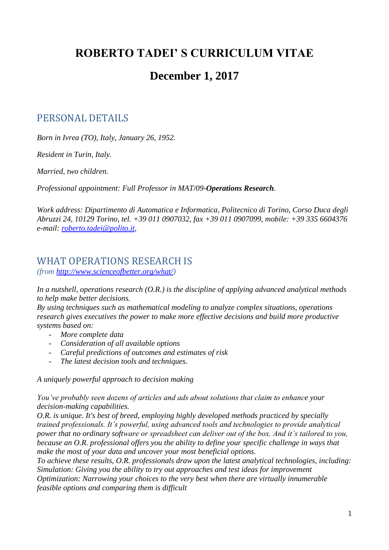# **ROBERTO TADEI' S CURRICULUM VITAE**

# **December 1, 2017**

## PERSONAL DETAILS

*Born in Ivrea (TO), Italy, January 26, 1952.*

*Resident in Turin, Italy.*

*Married, two children.*

*Professional appointment: Full Professor in MAT/09-Operations Research.*

*Work address: Dipartimento di Automatica e Informatica, Politecnico di Torino, Corso Duca degli Abruzzi 24, 10129 Torino, tel. +39 011 0907032, fax +39 011 0907099, mobile: +39 335 6604376 e-mail: [roberto.tadei@polito.it,](mailto:roberto.tadei@polito.it)* 

### WHAT OPERATIONS RESEARCH IS

*(from [http://www.scienceofbetter.org/what/\)](http://www.scienceofbetter.org/what/)* 

*In a nutshell, operations research (O.R.) is the discipline of applying advanced analytical methods to help make better decisions.*

*By using techniques such as mathematical modeling to analyze complex situations, operations research gives executives the power to make more effective decisions and build more productive systems based on:*

- *More complete data*
- *Consideration of all available options*
- *Careful predictions of outcomes and estimates of risk*
- *The latest decision tools and techniques.*

*A uniquely powerful approach to decision making*

*You've probably seen dozens of articles and ads about solutions that claim to enhance your decision-making capabilities.*

*O.R. is unique. It's best of breed, employing highly developed methods practiced by specially trained professionals. It's powerful, using advanced tools and technologies to provide analytical power that no ordinary software or spreadsheet can deliver out of the box. And it's tailored to you, because an O.R. professional offers you the ability to define your specific challenge in ways that make the most of your data and uncover your most beneficial options.*

*To achieve these results, O.R. professionals draw upon the latest analytical technologies, including: Simulation: Giving you the ability to try out approaches and test ideas for improvement Optimization: Narrowing your choices to the very best when there are virtually innumerable feasible options and comparing them is difficult*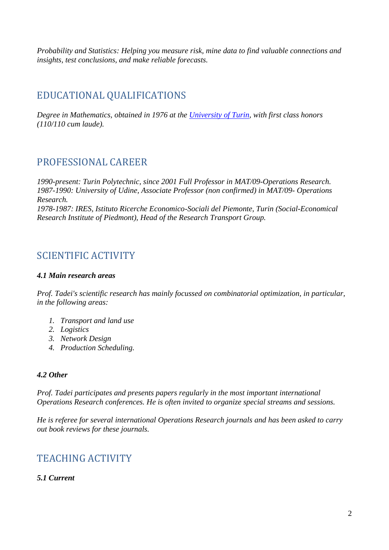*Probability and Statistics: Helping you measure risk, mine data to find valuable connections and insights, test conclusions, and make reliable forecasts.*

## EDUCATIONAL QUALIFICATIONS

*Degree in Mathematics, obtained in 1976 at the [University of Turin,](http://www.unito.it/) with first class honors (110/110 cum laude).* 

### PROFESSIONAL CAREER

*1990-present: Turin Polytechnic, since 2001 Full Professor in MAT/09-Operations Research. 1987-1990: University of Udine, Associate Professor (non confirmed) in MAT/09- Operations Research. 1978-1987: IRES, Istituto Ricerche Economico-Sociali del Piemonte, Turin (Social-Economical Research Institute of Piedmont), Head of the Research Transport Group.* 

### SCIENTIFIC ACTIVITY

#### *4.1 Main research areas*

*Prof. Tadei's scientific research has mainly focussed on combinatorial optimization, in particular, in the following areas:* 

- *1. Transport and land use*
- *2. Logistics*
- *3. Network Design*
- *4. Production Scheduling.*

### *4.2 Other*

*Prof. Tadei participates and presents papers regularly in the most important international Operations Research conferences. He is often invited to organize special streams and sessions.* 

*He is referee for several international Operations Research journals and has been asked to carry out book reviews for these journals.* 

## TEACHING ACTIVITY

### *5.1 Current*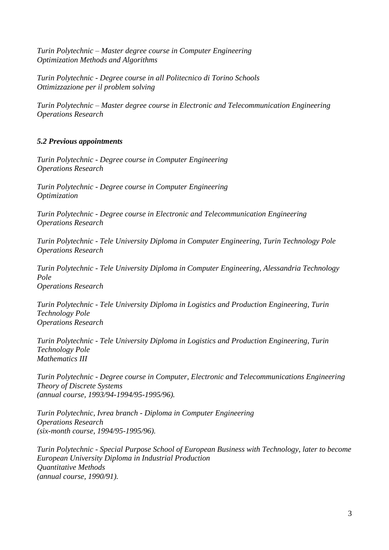*Turin Polytechnic – Master degree course in Computer Engineering Optimization Methods and Algorithms*

*Turin Polytechnic - Degree course in all Politecnico di Torino Schools Ottimizzazione per il problem solving* 

*Turin Polytechnic – Master degree course in Electronic and Telecommunication Engineering Operations Research* 

#### *5.2 Previous appointments*

*Turin Polytechnic - Degree course in Computer Engineering Operations Research*

*Turin Polytechnic - Degree course in Computer Engineering Optimization*

*Turin Polytechnic - Degree course in Electronic and Telecommunication Engineering Operations Research* 

*Turin Polytechnic - Tele University Diploma in Computer Engineering, Turin Technology Pole Operations Research*

*Turin Polytechnic - Tele University Diploma in Computer Engineering, Alessandria Technology Pole Operations Research*

*Turin Polytechnic - Tele University Diploma in Logistics and Production Engineering, Turin Technology Pole Operations Research*

*Turin Polytechnic - Tele University Diploma in Logistics and Production Engineering, Turin Technology Pole Mathematics III*

*Turin Polytechnic - Degree course in Computer, Electronic and Telecommunications Engineering Theory of Discrete Systems (annual course, 1993/94-1994/95-1995/96).* 

*Turin Polytechnic, Ivrea branch - Diploma in Computer Engineering Operations Research (six-month course, 1994/95-1995/96).* 

*Turin Polytechnic - Special Purpose School of European Business with Technology, later to become European University Diploma in Industrial Production Quantitative Methods (annual course, 1990/91).*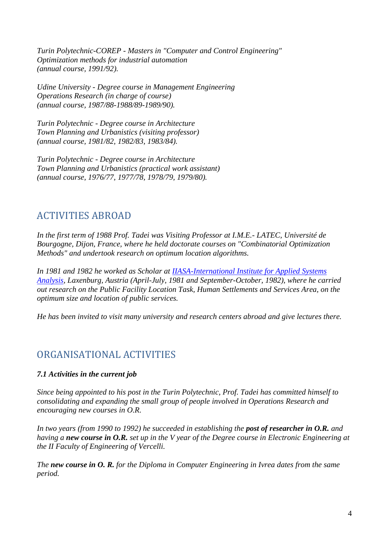*Turin Polytechnic-COREP - Masters in "Computer and Control Engineering" Optimization methods for industrial automation (annual course, 1991/92).* 

*Udine University - Degree course in Management Engineering Operations Research (in charge of course) (annual course, 1987/88-1988/89-1989/90).*

*Turin Polytechnic - Degree course in Architecture Town Planning and Urbanistics (visiting professor) (annual course, 1981/82, 1982/83, 1983/84).*

*Turin Polytechnic - Degree course in Architecture Town Planning and Urbanistics (practical work assistant) (annual course, 1976/77, 1977/78, 1978/79, 1979/80).* 

## ACTIVITIES ABROAD

*In the first term of 1988 Prof. Tadei was Visiting Professor at I.M.E.- LATEC, Université de Bourgogne, Dijon, France, where he held doctorate courses on "Combinatorial Optimization Methods" and undertook research on optimum location algorithms.*

*In 1981 and 1982 he worked as Scholar at [IIASA-International Institute for Applied Systems](http://www.iiasa.ac.at/)  [Analysis,](http://www.iiasa.ac.at/) Laxenburg, Austria (April-July, 1981 and September-October, 1982), where he carried out research on the Public Facility Location Task, Human Settlements and Services Area, on the optimum size and location of public services.* 

*He has been invited to visit many university and research centers abroad and give lectures there.*

## ORGANISATIONAL ACTIVITIES

### *7.1 Activities in the current job*

*Since being appointed to his post in the Turin Polytechnic, Prof. Tadei has committed himself to consolidating and expanding the small group of people involved in Operations Research and encouraging new courses in O.R.*

*In two years (from 1990 to 1992) he succeeded in establishing the post of researcher in O.R. and having a new course in O.R. set up in the V year of the Degree course in Electronic Engineering at the II Faculty of Engineering of Vercelli.*

*The new course in O. R. for the Diploma in Computer Engineering in Ivrea dates from the same period.*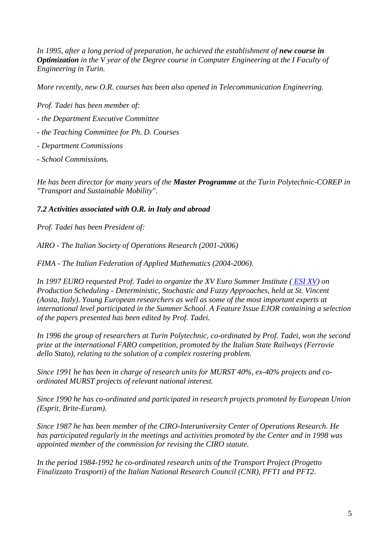*In 1995, after a long period of preparation, he achieved the establishment of <i>new course in Optimization in the V year of the Degree course in Computer Engineering at the I Faculty of Engineering in Turin.* 

*More recently, new O.R. courses has been also opened in Telecommunication Engineering.*

*Prof. Tadei has been member of:*

- *- the Department Executive Committee*
- *- the Teaching Committee for Ph. D. Courses*
- *- Department Commissions*
- *- School Commissions.*

*He has been director for many years of the Master Programme at the Turin Polytechnic-COREP in "Transport and Sustainable Mobility".*

#### *7.2 Activities associated with O.R. in Italy and abroad*

*Prof. Tadei has been President of:*

*AIRO - The Italian Society of Operations Research (2001-2006)*

*FIMA - The Italian Federation of Applied Mathematics (2004-2006).*

*In 1997 EURO requested Prof. Tadei to organize the XV Euro Summer Institute ( [ESI XV\)](http://associazioni.polito.it/AIROTO/ESI97) on Production Scheduling - Deterministic, Stochastic and Fuzzy Approaches, held at St. Vincent (Aosta, Italy). Young European researchers as well as some of the most important experts at international level participated in the Summer School. A Feature Issue EJOR containing a selection of the papers presented has been edited by Prof. Tadei.* 

*In 1996 the group of researchers at Turin Polytechnic, co-ordinated by Prof. Tadei, won the second prize at the international FARO competition, promoted by the Italian State Railways (Ferrovie dello Stato), relating to the solution of a complex rostering problem.* 

*Since 1991 he has been in charge of research units for MURST 40%, ex-40% projects and coordinated MURST projects of relevant national interest.*

*Since 1990 he has co-ordinated and participated in research projects promoted by European Union (Esprit, Brite-Euram).*

*Since 1987 he has been member of the CIRO-Interuniversity Center of Operations Research. He has participated regularly in the meetings and activities promoted by the Center and in 1998 was appointed member of the commission for revising the CIRO statute.*

*In the period 1984-1992 he co-ordinated research units of the Transport Project (Progetto Finalizzato Trasporti) of the Italian National Research Council (CNR), PFT1 and PFT2.*